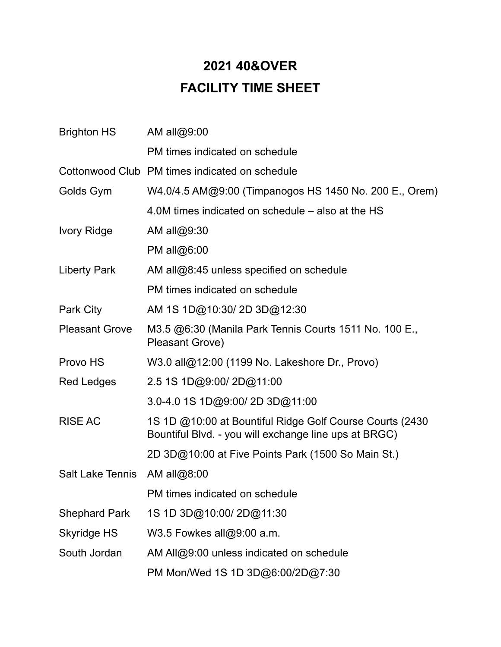## **2021 40&OVER FACILITY TIME SHEET**

| <b>Brighton HS</b>      | AM all@9:00                                                                                                        |
|-------------------------|--------------------------------------------------------------------------------------------------------------------|
|                         | PM times indicated on schedule                                                                                     |
|                         | Cottonwood Club PM times indicated on schedule                                                                     |
| Golds Gym               | W4.0/4.5 AM@9:00 (Timpanogos HS 1450 No. 200 E., Orem)                                                             |
|                         | 4.0M times indicated on schedule – also at the HS                                                                  |
| <b>Ivory Ridge</b>      | AM all@9:30                                                                                                        |
|                         | PM all@6:00                                                                                                        |
| Liberty Park            | AM all@8:45 unless specified on schedule                                                                           |
|                         | PM times indicated on schedule                                                                                     |
| Park City               | AM 1S 1D@10:30/2D 3D@12:30                                                                                         |
| <b>Pleasant Grove</b>   | M3.5 @6:30 (Manila Park Tennis Courts 1511 No. 100 E.,<br>Pleasant Grove)                                          |
| Provo HS                | W3.0 all@12:00 (1199 No. Lakeshore Dr., Provo)                                                                     |
| <b>Red Ledges</b>       | 2.5 1S 1D@9:00/2D@11:00                                                                                            |
|                         | 3.0-4.0 1S 1D@9:00/2D 3D@11:00                                                                                     |
| <b>RISE AC</b>          | 1S 1D @10:00 at Bountiful Ridge Golf Course Courts (2430)<br>Bountiful Blvd. - you will exchange line ups at BRGC) |
|                         | 2D 3D@10:00 at Five Points Park (1500 So Main St.)                                                                 |
| <b>Salt Lake Tennis</b> | AM all@8:00                                                                                                        |
|                         | PM times indicated on schedule                                                                                     |
| <b>Shephard Park</b>    | 1S 1D 3D@10:00/2D@11:30                                                                                            |
| Skyridge HS             | W3.5 Fowkes all@9:00 a.m.                                                                                          |
| South Jordan            | AM All@9:00 unless indicated on schedule                                                                           |
|                         | PM Mon/Wed 1S 1D 3D@6:00/2D@7:30                                                                                   |